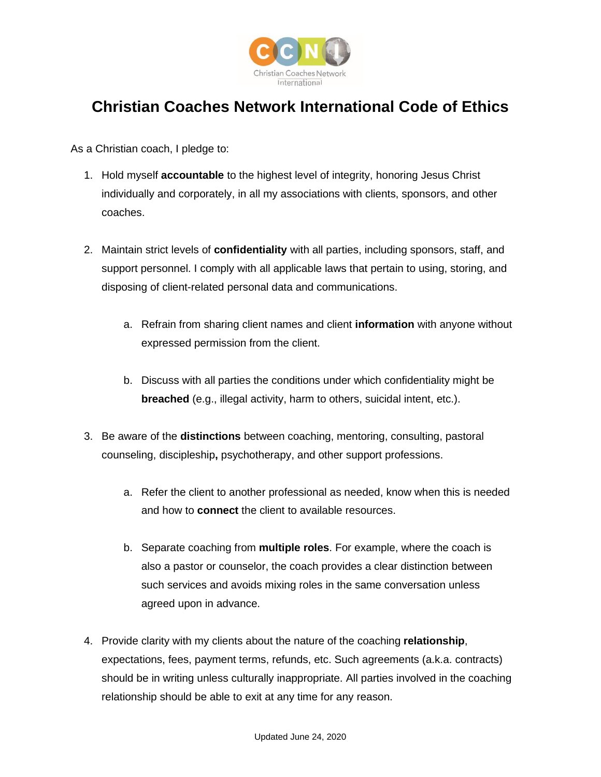

## **Christian Coaches Network International Code of Ethics**

As a Christian coach, I pledge to:

- 1. Hold myself **accountable** to the highest level of integrity, honoring Jesus Christ individually and corporately, in all my associations with clients, sponsors, and other coaches.
- 2. Maintain strict levels of **confidentiality** with all parties, including sponsors, staff, and support personnel. I comply with all applicable laws that pertain to using, storing, and disposing of client-related personal data and communications.
	- a. Refrain from sharing client names and client **information** with anyone without expressed permission from the client.
	- b. Discuss with all parties the conditions under which confidentiality might be **breached** (e.g., illegal activity, harm to others, suicidal intent, etc.).
- 3. Be aware of the **distinctions** between coaching, mentoring, consulting, pastoral counseling, discipleship**,** psychotherapy, and other support professions.
	- a. Refer the client to another professional as needed, know when this is needed and how to **connect** the client to available resources.
	- b. Separate coaching from **multiple roles**. For example, where the coach is also a pastor or counselor, the coach provides a clear distinction between such services and avoids mixing roles in the same conversation unless agreed upon in advance.
- 4. Provide clarity with my clients about the nature of the coaching **relationship**, expectations, fees, payment terms, refunds, etc. Such agreements (a.k.a. contracts) should be in writing unless culturally inappropriate. All parties involved in the coaching relationship should be able to exit at any time for any reason.